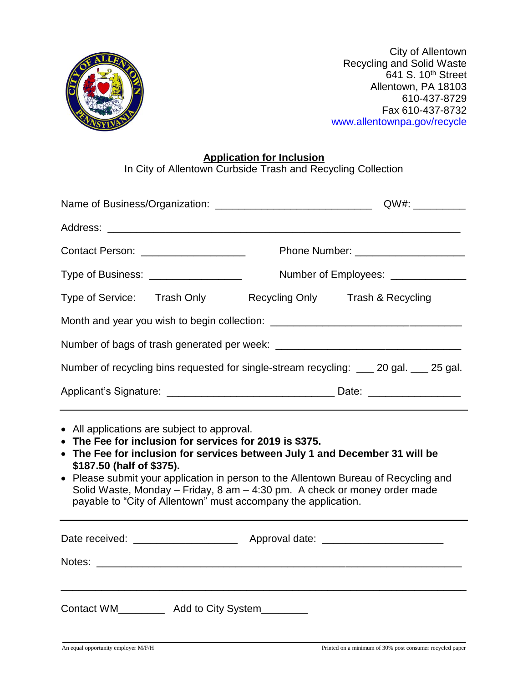

City of Allentown Recycling and Solid Waste  $641$  S. 10<sup>th</sup> Street Allentown, PA 18103 610-437-8729 Fax 610-437-8732 www.allentownpa.gov/recycle

## **Application for Inclusion**

In City of Allentown Curbside Trash and Recycling Collection

|                                                                                                                                                                                                                                                                                                                                                                                                                                                          | QW#: ___________                                                                 |
|----------------------------------------------------------------------------------------------------------------------------------------------------------------------------------------------------------------------------------------------------------------------------------------------------------------------------------------------------------------------------------------------------------------------------------------------------------|----------------------------------------------------------------------------------|
|                                                                                                                                                                                                                                                                                                                                                                                                                                                          |                                                                                  |
| Contact Person: ____________________                                                                                                                                                                                                                                                                                                                                                                                                                     |                                                                                  |
| Type of Business: __________________                                                                                                                                                                                                                                                                                                                                                                                                                     | Number of Employees: ______________                                              |
|                                                                                                                                                                                                                                                                                                                                                                                                                                                          | Type of Service: Trash Only Recycling Only Trash & Recycling                     |
|                                                                                                                                                                                                                                                                                                                                                                                                                                                          | Month and year you wish to begin collection: ___________________________________ |
|                                                                                                                                                                                                                                                                                                                                                                                                                                                          |                                                                                  |
| Number of recycling bins requested for single-stream recycling: __ 20 gal. __ 25 gal.                                                                                                                                                                                                                                                                                                                                                                    |                                                                                  |
|                                                                                                                                                                                                                                                                                                                                                                                                                                                          |                                                                                  |
| • All applications are subject to approval.<br>• The Fee for inclusion for services for 2019 is \$375.<br>• The Fee for inclusion for services between July 1 and December 31 will be<br>\$187.50 (half of \$375).<br>• Please submit your application in person to the Allentown Bureau of Recycling and<br>Solid Waste, Monday - Friday, 8 am - 4:30 pm. A check or money order made<br>payable to "City of Allentown" must accompany the application. |                                                                                  |
| Date received: ________________________ Approval date: _________________________                                                                                                                                                                                                                                                                                                                                                                         |                                                                                  |
| Contact WM__________ Add to City System________                                                                                                                                                                                                                                                                                                                                                                                                          |                                                                                  |